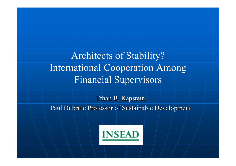Architects of Stability? International Cooperation Among Financial Supervisors

Ethan B. Kapstein Paul Dubrule Professor of Sustainable Development

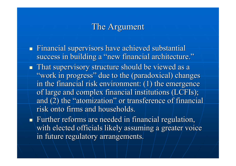## The Argument

- Financial supervisors have achieved substantial success in building a "new financial architecture."  $\blacksquare$  That supervisory structure should be viewed as a "work in progress" due to the (paradoxical) changes in the financial risk environment:  $(1)$  the emergence of large and complex financial institutions (LCFIs); and  $(2)$  the "atomization" or transference of financial risk onto firms and households.
- Further reforms are needed in financial regulation, with elected officials likely assuming a greater voice in future regulatory arrangements.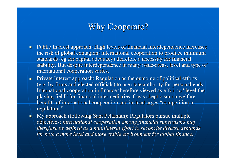# Why Cooperate?

- Public Interest approach: High levels of financial interdependence increases the risk of global contagion; international cooperation to produce minimum standards (eg for capital adequacy) therefore a necessity for financial stability. But despite interdependence in many issue-areas, level and type of international cooperation varies.
- $\blacksquare$ Private Interest approach: Regulation as the outcome of political efforts (e.g. by firms and elected officials) to use state authority for personal ends. International cooperation in finance therefore viewed as effort to "level the playing field" for financial intermediaries. Casts skepticism on welfare benefits of international cooperation and instead urges "competition in regulation."
- $\blacksquare$ My approach (following Sam Peltzman): Regulators pursue multiple objectives; *International cooperation among financial supervisors may therefore be defined as a multilateral effort to reconcile diverse demands for both a more level and more stable environment for global finance.*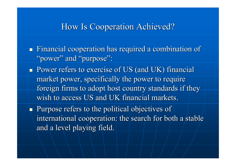#### How Is Cooperation Achieved? How Is Cooperation Achieved?

 $\blacksquare$  Financial cooperation has required a combination of "power" and "purpose":

**Power refers to exercise of US (and UK) financial** market power, specifically the power to require foreign firms to adopt host country standards if they wish to access US and UK financial markets.

Purpose refers to the political objectives of international cooperation: the search for both a stable and a level playing field.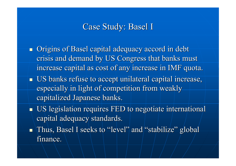## Case Study: Basel I

- $\blacksquare$  Origins of Basel capital adequacy accord in debt crisis and demand by US Congress that banks must increase capital as cost of any increase in IMF quota.
- **US banks refuse to accept unilateral capital increase,** especially in light of competition from weakly capitalized Japanese banks.
- $\blacksquare$  US legislation requires FED to negotiate international capital adequacy standards.
- $\blacksquare$  Thus, Basel I seeks to "level" and "stabilize" global finance.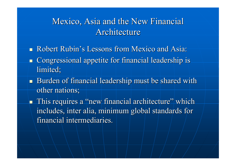# Mexico, Asia and the New Financial Architecture

- m. Robert Rubin's Lessons from Mexico and Asia:
- Ō. Congressional appetite for financial leadership is Congressional appetite for financial leadership is limited;
- Burden of financial leadership must be shared with other nations;

 $\blacksquare$  This requires a "new financial architecture" which includes, inter alia, minimum global standards for financial intermediaries.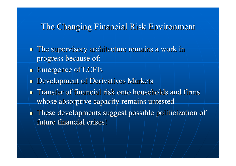#### The Changing Financial Risk Environment

 $\blacksquare$  The supervisory architecture remains a work in progress because of:

- **Emergence of LCFIs**
- $\blacksquare$ Development of Derivatives Markets
- $\blacksquare$ Transfer of financial risk onto households and firms whose absorptive capacity remains untested
- $\blacksquare$  These developments suggest possible politicization of future financial crises!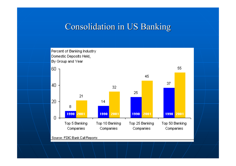## Consolidation in US Banking



Source: FDIC Bank Call Reports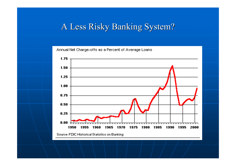### A Less Risky Banking System?

Annual Net Charge-offs as a Percent of Average Loans

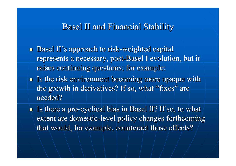#### Basel II and Financial Stability Basel II and Financial Stability

- $\blacksquare$  Basel II's approach to risk-weighted capital represents a necessary, post-Basel I evolution, but it raises continuing questions; for example:
- $\blacksquare$  Is the risk environment becoming more opaque with the growth in derivatives? If so, what "fixes" are needed?

Is there a pro-cyclical bias in Basel II? If so, to what extent are domestic-level policy changes forthcoming that would, for example, counteract those effects?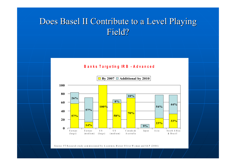# Does Basel II Contribute to a Level Playing Field?

#### **B a n k s Ta r g e t ing IR B - A d <sup>v</sup> a n c e d**



Source: FT Research study commissioned by Accenture, Mercer Oliver Wyman and SAP (2004)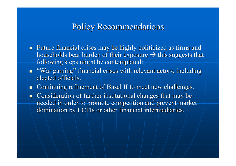## Policy Recommendations Policy Recommendations

- Future financial crises may be highly politicized as firms and households bear burden of their exposure  $\rightarrow$  this suggests that following steps might be contemplated:
- $\blacksquare$  "War gaming" financial crises with relevant actors, including elected officials.
- $\blacksquare$ Continuing refinement of Basel II to meet new challenges.
- Consideration of further institutional changes that may be needed in order to promote competition and prevent market domination by LCFIs or other financial intermediaries.